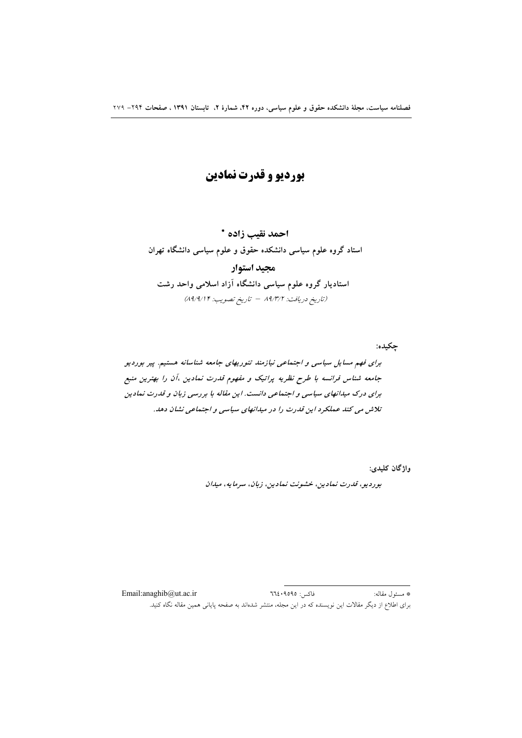# بورديو و قدرت نمادين

احمد نقيب زاده \* استاد گروه علوم سیاسی دانشکده حقوق و علوم سیاسی دانشگاه تهران مجيد استوار استادیار گروه علوم سیاسی دانشگاه آزاد اسلامی واحد رشت (تاريخ دريافت: ٨٩/٣/٢ - تاريخ تصويب: ٨٩/٩/١٢)

چکيده: برای فهم مسایل سیاسی و اجتماعی نیازمند تئوریهای جامعه شناسانه هستیم. پیر بوردیو جامعه شناس فرانسه با طرح نظریه پراتیک و مفهوم قدرت نمادین ،آن را بهترین منبع برای درک میدانهای سیاسی و اجتماعی دانست. این مقاله با بررسی زبان و قدرت نمادین تلاش می کند عملکرد این قدرت را در میدانهای سیاسی و اجتماعی نشان دهد.

واژگان کليدي:

بورديو، قدرت نمادين، خشونت نمادين، زبان، سرمايه، ميدان

فاكس: ٩٥٩٥: ٦٦٤ \* مسئول مقاله: Email:anaghib@ut.ac.ir برای اطلاع از دیگر مقالات این نویسنده که در این مجله، منتشر شدهاند به صفحه پایانی همین مقاله نگاه کنید.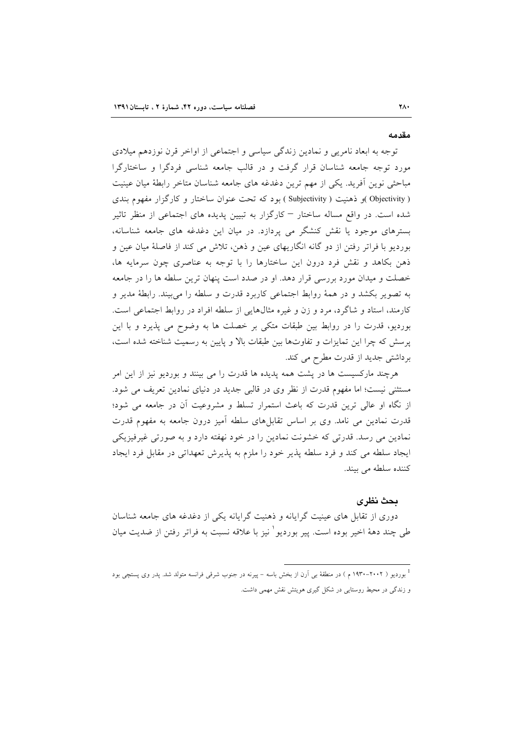#### مقدمه

توجه به ابعاد نامریی و نمادین زندگی سیاسی و اجتماعی از اواخر قرن نوزدهم میلادی مورد توجه جامعه شناسان قرار گرفت و در قالب جامعه شناسی فردگرا و ساختارگرا مباحثی نوین أفرید. یکی از مهم ترین دغدغه های جامعه شناسان متاخر رابطهٔ میان عینیت ( Objectivity )و ذهنیت ( Subjectivity ) بود که تحت عنوان ساختار و کارگزار مفهوم بندی شده است. در واقع مساله ساختار – کارگزار به تبیین پدیده های اجتماعی از منظر تاثیر بسترهای موجود یا نقش کنشگر می پردازد. در میان این دغدغه های جامعه شناسانه، بورديو با فراتر رفتن از دو گانه انگاريهاي عين و ذهن، تلاش مي كند از فاصلهٔ ميان عين و ذهن بکاهد و نقش فرد درون این ساختارها را با توجه به عناصری چون سرمایه ها، خصلت و میدان مورد بررسی قرار دهد. او در صدد است پنهان ترین سلطه ها را در جامعه به تصویر بکشد و در همهٔ روابط اجتماعی کاربرد قدرت و سلطه را می بیند. رابطهٔ مدیر و کارمند، استاد و شاگرد، مرد و زن و غیره مثالهایی از سلطه افراد در روابط اجتماعی است. بوردیو، قدرت را در روابط بین طبقات متکی بر خصلت ها به وضوح می پذیرد و با این پرسش که چرا این تمایزات و تفاوتها بین طبقات بالا و پایین به رسمیت شناخته شده است، برداشتی جدید از قدرت مطرح می کند.

هرچند مارکسیست ها در پشت همه پدیده ها قدرت را می بینند و بوردیو نیز از این امر مستثنی نیست؛ اما مفهوم قدرت از نظر وی در قالبی جدید در دنیای نمادین تعریف می شود. از نگاه او عالی ترین قدرت که باعث استمرار تسلط و مشروعیت آن در جامعه می شود؛ قدرت نمادین می نامد. وی بر اساس تقابلهای سلطه آمیز درون جامعه به مفهوم قدرت نمادین می رسد. قدرتی که خشونت نمادین را در خود نهفته دارد و به صورتی غیرفیزیکی ایجاد سلطه می کند و فرد سلطه پذیر خود را ملزم به پذیرش تعهداتی در مقابل فرد ایجاد كننده سلطه مى بيند.

#### بحث نظرى

دوری از تقابل های عینیت گرایانه و ذهنیت گرایانه یکی از دغدغه های جامعه شناسان طي چند دههٔ اخير بوده است. پير بورديو` نيز با علاقه نسبت به فراتر رفتن از ضديت ميان

<sup>&</sup>lt;sup>1</sup> بوردیو ( ۲۰۰۲–۱۹۳۰ م ) در منطقهٔ بی اَرن از بخش باسه – پیرنه در جنوب شرقی فرانسه متولد شد. پدر وی پستچی بود و زندگی در محیط روستایی در شکل گیری هویتش نقش مهمی داشت.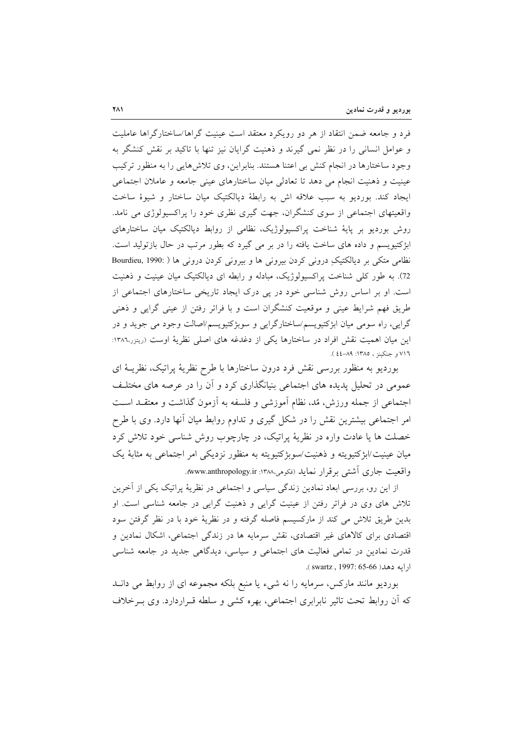فرد و جامعه ضمن انتقاد از هر دو رويكرد معتقد است عينيت گراها/ساختارگراها عامليت و عوامل انسانی را در نظر نمی گیرند و ذهنیت گرایان نیز تنها با تاکید بر نقش کنشگر به وجود ساختارها در انجام کنش بی اعتنا هستند. بنابراین، وی تلاشهایی را به منظور ترکیب عینیت و ذهنیت انجام می دهد تا تعادلی میان ساختارهای عینی جامعه و عاملان اجتماعی ايجاد كند. بورديو به سبب علاقه اش به رابطهٔ ديالكتيک ميان ساختار و شيوهٔ ساخت واقعیتهای اجتماعی از سوی کنشگران، جهت گیری نظری خود را پراکسیولوژی می نامد. روش بوردیو بر پایهٔ شناخت پراکسیولوژیک، نظامی از روابط دیالکتیک میان ساختارهای ابژکتیویسم و داده های ساخت یافته را در بر می گیرد که بطور مرتب در حال بازتولید است. نظامی متکی بر دیالکتیکِ درونی کردن بیرونی ها و بیرونی کردن درونی ها ( :Bourdieu, 1990 72). به طور کلَّى شناخت پراکسیولوژیک، مبادله و رابطه ای دیالکتیک میان عینیت و ذهنیت است. او بر اساس روش شناسی خود در یی درک ایجاد تاریخی ساختارهای اجتماعی از طریق فهم شرایط عینی و موقعیت کنشگران است و با فراتر رفتن از عینی گرایی و ذهنی گرایی، راه سومی میان ابژکتیویسم/ساختارگرایی و سوبژکتیویسم/اصالت وجود می جوید و در این میان اهمیت نقش افراد در ساختارها یکی از دغدغه های اصلی نظریهٔ اوست (ریتزر،۱۳۸۲: ٧١٦ و جنكينز ، ١٣٨٥: ٨٩-٤٤).

بورديو به منظور بررسي نقش فرد درون ساختارها با طرح نظريهٔ پراتيک، نظريــهٔ اي عمومی در تحلیل پدیده های اجتماعی بنیانگذاری کرد و اَن را در عرصه های مختلـف اجتماعی از جمله ورزش، مُد، نظام آموزشی و فلسفه به آزمون گذاشت و معتقـد اسـت امر اجتماعی بیشترین نقش را در شکل گیری و تداوم روابط میان آنها دارد. وی با طرح خصلت ها یا عادت واره در نظریهٔ پراتیک، در چارچوب روش شناسی خود تلاش کرد میان عینیت/ابژکتیویته و ذهنیت/سوبژکتیویته به منظور نزدیکی امر اجتماعی به مثابهٔ یک واقعیت جاری آشتی بر قرار نماید (فکومی،۱۳۸۸: www.anthropology.ir).

از این رو، بررسی ابعاد نمادین زندگی سیاسی و اجتماعی در نظریهٔ پراتیک یکی از آخرین تلاش های وی در فراتر رفتن از عینیت گرایی و ذهنیت گرایی در جامعه شناسی است. او بدین طریق تلاش می کند از مارکسیسم فاصله گرفته و در نظریهٔ خود با در نظر گرفتن سود اقتصادی برای کالاهای غیر اقتصادی، نقش سرمایه ها در زندگی اجتماعی، اشکال نمادین و قدرت نمادین در تمامی فعالیت های اجتماعی و سیاسی، دیدگاهی جدید در جامعه شناسی ارايه دهد( swartz , 1997: 65-66).

بوردیو مانند مارکس، سرمایه را نه شیء یا منبع بلکه مجموعه ای از روابط می دانــد که اَن روابط تحت تاثیر نابرابری اجتماعی، بهره کشی و سلطه قــراردارد. وی بــرخلاف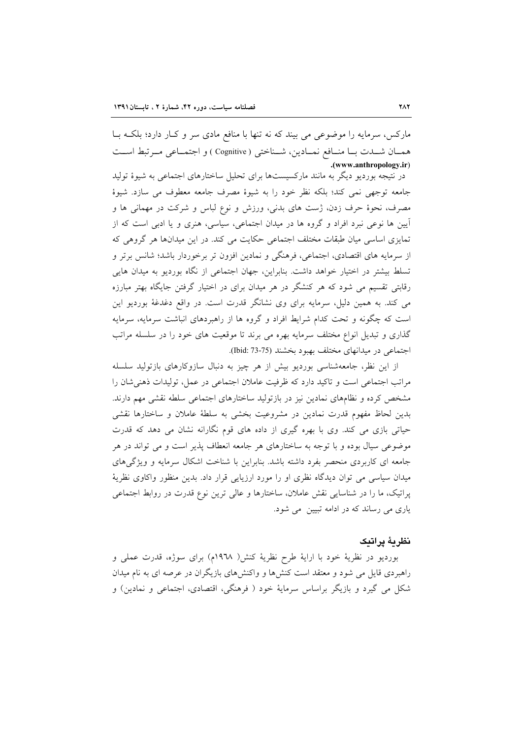مارکس، سرمایه را موضوعی می بیند که نه تنها با منافع مادی سر و کـار دارد؛ بلکـه بــا همسان شدت بسا منسافع نمسادين، شسناختي ( Cognitive ) و اجتمساعي مسرتبط اسست .(www.anthropology.ir)

در نتیجه بوردیو دیگر به مانند مارکسیستها برای تحلیل ساختارهای اجتماعی به شیوهٔ تولید جامعه توجهي نمي كند؛ بلكه نظر خود را به شيوهٔ مصرف جامعه معطوف مي سازد. شيوهٔ مصرف، نحوهٔ حرف زدن، ژست های بدنی، ورزش و نوع لباس و شرکت در مهمانی ها و أیین ها نوعی نبرد افراد و گروه ها در میدان اجتماعی، سیاسی، هنری و یا ادبی است که از تمایزی اساسی میان طبقات مختلف اجتماعی حکایت می کند. در این میدانها هر گروهی که از سرمایه های اقتصادی، اجتماعی، فرهنگی و نمادین افزون تر برخوردار باشد؛ شانس برتر و تسلط بیشتر در اختیار خواهد داشت. بنابراین، جهان اجتماعی از نگاه بوردیو به میدان هایی رقابتی تقسیم می شود که هر کنشگر در هر میدان برای در اختیار گرفتن جایگاه بهتر مبارزه می کند. به همین دلیل، سرمایه برای وی نشانگر قدرت است. در واقع دغدغهٔ بوردیو این است که چگونه و تحت کدام شرایط افراد و گروه ها از راهبردهای انباشت سرمایه، سرمایه گذاری و تبدیل انواع مختلف سرمایه بهره می برند تا موقعیت های خود را در سلسله مراتب اجتماعی در میدانهای مختلف بهبود بخشند (75-73 :Jbid).

از این نظر، جامعهشناسی بوردیو بیش از هر چیز به دنبال سازوکارهای بازتولید سلسله مراتب اجتماعی است و تاکید دارد که ظرفیت عاملان اجتماعی در عمل، تولیدات ذهنی شان را مشخص کرده و نظامهای نمادین نیز در بازتولید ساختارهای اجتماعی سلطه نقشی مهم دارند. بدین لحاظ مفهوم قدرت نمادین در مشروعیت بخشی به سلطهٔ عاملان و ساختارها نقشی حیاتی بازی می کند. وی با بهره گیری از داده های قوم نگارانه نشان می دهد که قدرت موضوعی سیال بوده و با توجه به ساختارهای هر جامعه انعطاف پذیر است و می تواند در هر جامعه ای کاربردی منحصر بفرد داشته باشد. بنابراین با شناخت اشکال سرمایه و ویژگی های میدان سیاسی می توان دیدگاه نظری او را مورد ارزیایی قرار داد. بدین منظور واکاوی نظریهٔ یراتیک، ما را در شناسایی نقش عاملان، ساختارها و عالی ترین نوع قدرت در روابط اجتماعی یاری می رساند که در ادامه تبیین می شود.

### نظريهٔ يراتبک

بورديو در نظرية خود با اراية طرح نظرية كنش( ١٩٦٨م) براى سوژه، قدرت عملي و راهبردی قایل می شود و معتقد است کنشها و واکنشهای بازیگران در عرصه ای به نام میدان شکل می گیرد و بازیگر براساس سرمایهٔ خود ( فرهنگی، اقتصادی، اجتماعی و نمادین) و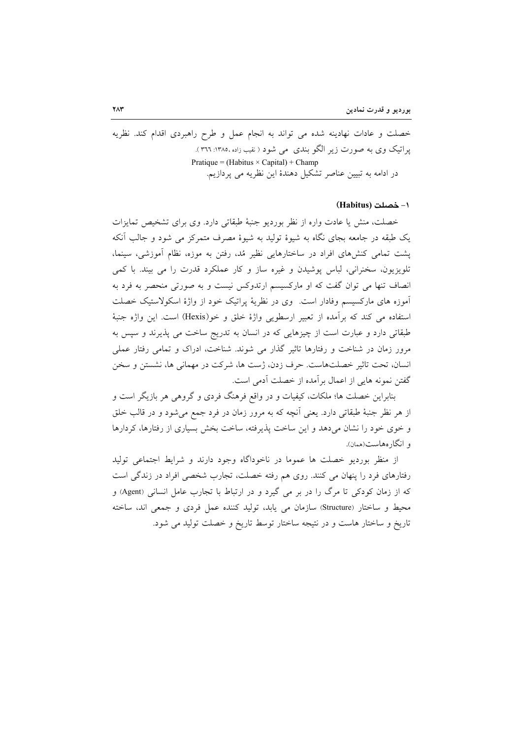خصلت و عادات نهادینه شده می تواند به انجام عمل و طرح راهبردی اقدام کند. نظریه یراتیک وی به صورت زیر الگو بندی ً می شود ( نقیب زاده ،۱۳۸۵: ۳۶۱ ). Pratique = (Habitus  $\times$  Capital) + Champ در ادامه به تبیین عناصر تشکیل دهندهٔ این نظریه می پردازیم.

### ۱- خصلت (Habitus)

خصلت، منش یا عادت واره از نظر بوردیو جنبهٔ طبقاتی دارد. وی برای تشخیص تمایزات یک طبقه در جامعه بجای نگاه به شیوهٔ تولید به شیوهٔ مصرف متمرکز می شود و جالب آنکه پشت تمامی کنشهای افراد در ساختارهایی نظیر مُد، رفتن به موزه، نظام آموزشی، سینما، تلویزیون، سخنرانی، لباس پوشیدن و غیره ساز و کار عملکرد قدرت را می بیند. با کمی انصاف تنها می توان گفت که او مارکسیسم ارتدوکس نیست و به صورتی منحصر به فرد به آموزه های مارکسیسم وفادار است. وی در نظریهٔ پراتیک خود از واژهٔ اسکولاستیک خصلت استفاده مي كند كه برآمده از تعبير ارسطويي واژة خلق و خو(Hexis) است. اين واژه جنبهٔ طبقاتی دارد و عبارت است از چیزهایی که در انسان به تدریج ساخت می پذیرند و سپس به مرور زمان در شناخت و رفتارها تاثیر گذار می شوند. شناخت، ادراک و تمامی رفتار عملی انسان، تحت تاثیر خصلتهاست. حرف زدن، ژست ها، شرکت در مهمانی ها، نشستن و سخن گفتن نمونه هایی از اعمال بر آمده از خصلت آدمی است.

بنابراین خصلت ها؛ ملکات، کیفیات و در واقع فرهنگ فردی و گروهی هر بازیگر است و از هر نظر جنبهٔ طبقاتی دارد. یعنی آنچه که به مرور زمان در فرد جمع میشود و در قالب خلق و خوی خود را نشان می دهد و این ساخت پذیرفته، ساخت بخش بسیاری از رفتارها، کردارها و انگارەھاست(ھمان).

از منظر بوردیو خصلت ها عموما در ناخوداگاه وجود دارند و شرایط اجتماعی تولید رفتارهای فرد را پنهان می کنند. روی هم رفته خصلت، تجارب شخصی افراد در زندگی است که از زمان کودکی تا مرگ را در بر می گیرد و در ارتباط با تجارب عامل انسانی (Agent) و محیط و ساختار (Structure) سازمان می یابد، تولید کننده عمل فردی و جمعی اند، ساخته تاریخ و ساختار هاست و در نتیجه ساختار توسط تاریخ و خصلت تولید می شود.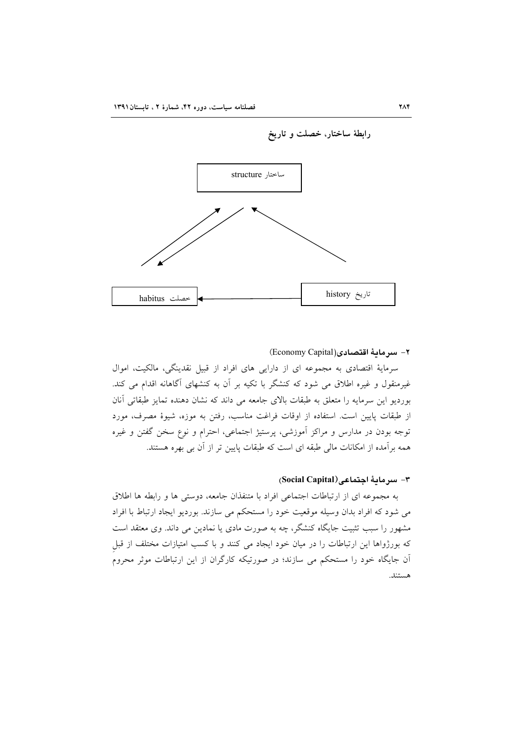

#### ٢- سرمامهٔ اقتصادی(Economy Capital)

سرمايهٔ اقتصادي به مجموعه اي از دارايي هاي افراد از قبيل نقدينگي، مالكيت، اموال غیرمنقول و غیره اطلاق می شود که کنشگر با تکیه بر آن به کنشهای آگاهانه اقدام می کند. بوردیو این سرمایه را متعلق به طبقات بالای جامعه می داند که نشان دهنده تمایز طبقاتی آنان از طبقات پایین است. استفاده از اوقات فراغت مناسب، رفتن به موزه، شیوهٔ مصرف، مورد توجه بودن در مدارس و مراکز اَموزشی، پرستیژ اجتماعی، احترام و نوع سخن گفتن و غیره همه برآمده از امکانات مالی طبقه ای است که طبقات پایین تر از آن بی بهره هستند.

### ٣- سرمائة اجتماعي(Social Capital)

به مجموعه ای از ارتباطات اجتماعی افراد با متنفذان جامعه، دوستی ها و رابطه ها اطلاق می شود که افراد بدان وسیله موقعیت خود را مستحکم می سازند. بوردیو ایجاد ارتباط با افراد مشهور را سبب تثبیت جایگاه کنشگر، چه به صورت مادی یا نمادین می داند. وی معتقد است که بورژواها این ارتباطات را در میان خود ایجاد می کنند و با کسب امتیازات مختلف از قبل آن جایگاه خود را مستحکم می سازند؛ در صورتیکه کارگران از این ارتباطات موثر محروم هستند.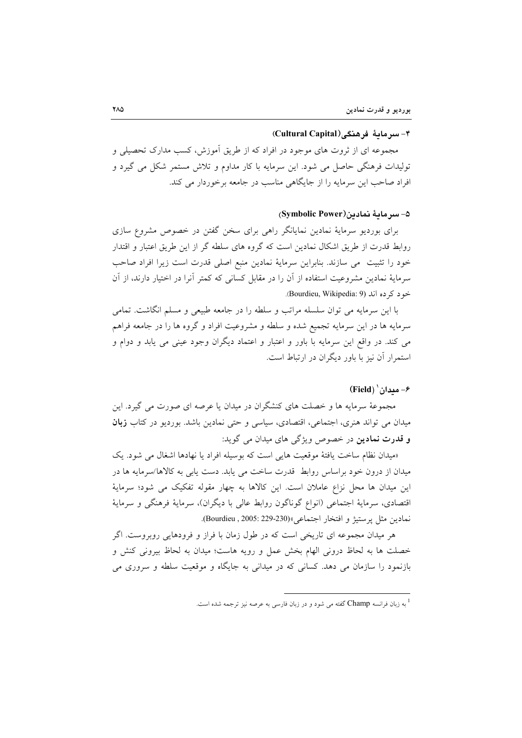#### ۴- سرماية فرهنگي(Cultural Capital)

مجموعه ای از ثروت های موجود در افراد که از طریق اَموزش، کسب مدارک تحصیلی و تولیدات فرهنگی حاصل می شود. این سرمایه با کار مداوم و تلاش مستمر شکل می گیرد و افراد صاحب این سرمایه را از جایگاهی مناسب در جامعه برخوردار می کند.

# ۵- سرمائة نمادين(Symbolic Power)

برای بوردیو سرمایهٔ نمادین نمایانگر راهی برای سخن گفتن در خصوص مشروع سازی روابط قدرت از طریق اشکال نمادین است که گروه های سلطه گر از این طریق اعتبار و اقتدار خود را تثبيت مي سازند. بنابراين سرماية نمادين منبع اصلي قدرت است زيرا افراد صاحب سرمایهٔ نمادین مشروعیت استفاده از آن را در مقابل کسانی که کمتر آنرا در اختیار دارند، از آن خود کے ده اند (Bourdieu, Wikipedia: 9).

با این سرمایه می توان سلسله مراتب و سلطه را در جامعه طبیعی و مسلم انگاشت. تمامی سرمايه ها در اين سرمايه تجميع شده و سلطه و مشروعيت افراد و گروه ها را در جامعه فراهم می کند. در واقع این سرمایه با باور و اعتبار و اعتماد دیگران وجود عینی می یابد و دوام و استمرار آن نیز با باور دیگران در ارتباط است.

# $(Field)^{\dagger}$ مدان (Field)

مجموعهٔ سرمایه ها و خصلت های کنشگران در میدان یا عرصه ای صورت می گیرد. این میدان می تواند هنری، اجتماعی، اقتصادی، سیاسی و حتی نمادین باشد. بوردیو در کتاب **زبان و قدرت نمادين** در خصوص ويژگي هاي ميدان مي گويد:

«میدان نظام ساخت یافتهٔ موقعیت هایی است که بوسیله افراد یا نهادها اشغال می شود. یک میدان از درون خود براساس روابط قدرت ساخت می یابد. دست یابی به کالاها/سرمایه ها در این میدان ها محل نزاع عاملان است. این کالاها به چهار مقوله تفکیک می شود؛ سرمایهٔ اقتصادي، سرمايهٔ اجتماعي (انواع گوناگون روابط عالي با ديگران)، سرمايهٔ فرهنگي و سرمايهٔ نمادين مثل يرستيژ و افتخار اجتماعي»(230-229 :Bourdieu , 2005).

هر میدان مجموعه ای تاریخی است که در طول زمان با فراز و فرودهایی روبروست. اگر خصلت ها به لحاظ درونی الهام بخش عمل و رویه هاست؛ میدان به لحاظ بیرونی کنش و بازنمود را سازمان می دهد. کسانی که در میدانی به جایگاه و موقعیت سلطه و سروری می

<sup>&</sup>lt;sup>1</sup> به زبان فرانسه Champ گفته می شود و در زبان فارسی به عرصه نیز ترجمه شده است.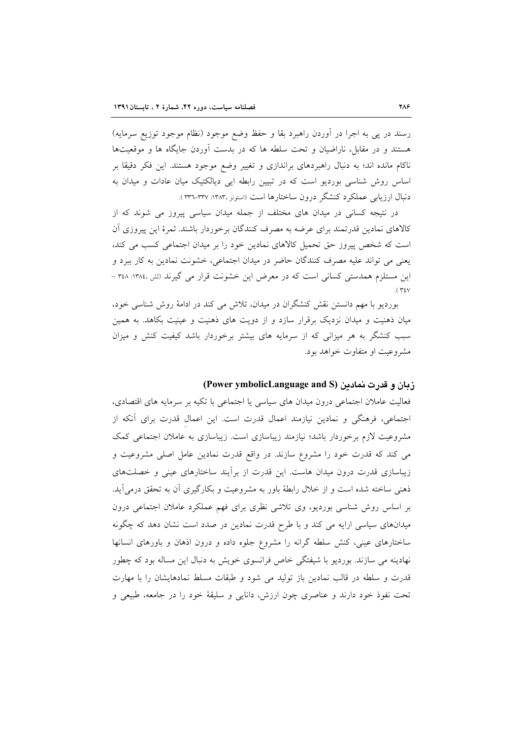رسند در پی به اجرا در أوردن راهبرد بقا و حفظ وضع موجود (نظام موجود توزیع سرمایه) هستند و در مقابل، ناراضیان و تحت سلطه ها که در بدست آوردن جایگاه ها و موقعیتها ناکام مانده اند؛ به دنبال راهبردهای براندازی و تغییر وضع موجود هستند. این فکر دقیقا بر اساس روش شناسی بوردیو است که در تبیین رابطه ایی دیالکتیک میان عادات و میدان به دنبال ارزيابي عملكرد كنشگر درون ساختارها است (استونز ،١٣٨٣: ٣٣٧-٣٣٦).

در نتیجه کسانی در میدان های مختلف از جمله میدان سیاسی پیروز می شوند که از كالاهاي نمادين قدرتمند براي عرضه به مصرف كنندگان برخوردار باشند. ثمرهٔ اين پيروزي آن است که شخص پیروز حق تحمیل کالاهای نمادین خود را بر میدان اجتماعی کسب می کند، يعني مي تواند عليه مصرف كنندگان حاضر در ميدان اجتماعي، خشونت نمادين به كار ببرد و این مستلزم همدستی کسانی است که در معرض این خشونت قرار می گیرند (لش،۱۳۸٤: ۳٤٨ –  $($  ۳۶ $\vee$ 

بوردیو با مهم دانستن نقش کنشگران در میدان، تلاش می کند در ادامهٔ روش شناسی خود، میان ذهنیت و میدان نزدیک برقرار سازد و از دویت های ذهنیت و عینیت بکاهد. به همین سبب کنشگر به هر میزانی که از سرمایه های بیشتر برخوردار باشد کیفیت کنش و میزان مشروعت او متفاوت خواهد بود.

### زبان و قدرت نمادین (Power ymbolicLanguage and S)

فعالیت عاملان اجتماعی درون میدان های سیاسی یا اجتماعی با تکیه بر سرمایه های اقتصادی، اجتماعی، فرهنگی و نمادین نیازمند اعمال قدرت است. این اعمال قدرت برای آنکه از مشروعیت لازم برخوردار باشد؛ نیازمند زیباسازی است. زیباسازی به عاملان اجتماعی کمک می کند که قدرت خود را مشروع سازند. در واقع قدرت نمادین عامل اصلی مشروعیت و زیباسازی قدرت درون میدان هاست. این قدرت از برآیند ساختارهای عینی و خصلتهای ذهنی ساخته شده است و از خلال رابطهٔ باور به مشروعیت و بکارگیری آن به تحقق درمی آید. بر اساس روش شناسی بوردیو، وی تلاشی نظری برای فهم عملکرد عاملان اجتماعی درون میدانهای سیاسی ارایه می کند و با طرح قدرت نمادین در صدد است نشان دهد که چگونه ساختارهای عینی، کنش سلطه گرانه را مشروع جلوه داده و درون اذهان و باورهای انسانها نهادینه می سازند. بوردیو با شیفتگی خاص فرانسوی خویش به دنبال این مساله بود که چطور قدرت و سلطه در قالب نمادین باز تولید می شود و طبقات مسلط نمادهایشان را با مهارت تحت نفوذ خود دارند و عناصري چون ارزش، دانايي و سليقهٔ خود را در جامعه، طبيعي و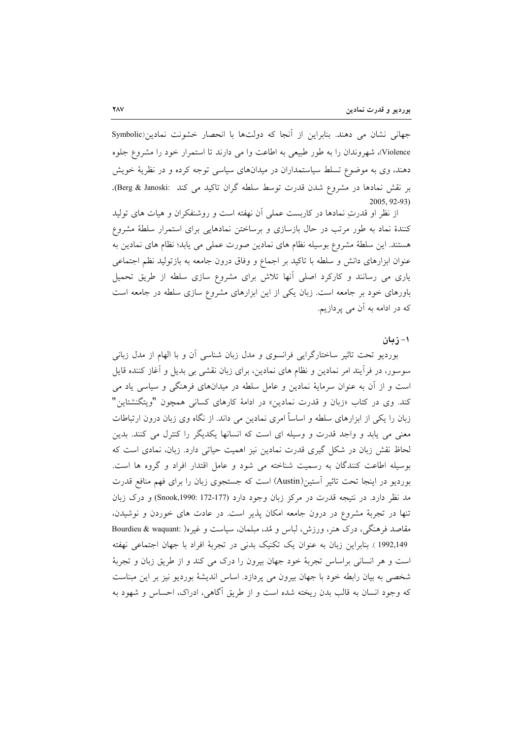جهانی نشان می دهند. بنابراین از آنجا که دولتها با انحصار خشونت نمادین(Symbolic Violence)، شهروندان را به طور طبیعی به اطاعت وا می دارند تا استمرار خود را مشروع جلوه دهند، وی به موضوع تسلط سیاستمداران در میدانهای سیاسی توجه کرده و در نظریهٔ خویش بر نقش نمادها در مشروع شدن قدرت توسط سلطه گران تاکید می کند :Berg & Janoski). 2005, 92-93)

از نظر او قدرتِ نمادها در كاربست عملى آن نهفته است و روشنفكران و هيات هاى توليد کنندهٔ نماد به طور مرتب در حال بازسازی و برساختن نمادهایی برای استمرار سلطهٔ مشروع هستند. این سلطهٔ مشروع بوسیله نظام های نمادین صورت عملی می پابد؛ نظام های نمادین به عنوان ابزارهای دانش و سلطه با تاکید بر اجماع و وفاق درون جامعه به بازتولید نظم اجتماعی یاری می رسانند و کارکرد اصلی آنها تلاش برای مشروع سازی سلطه از طریق تحمیل باورهای خود بر جامعه است. زبان یکی از این ابزارهای مشروع سازی سلطه در جامعه است که در ادامه به آن می پردازیم.

### ۱– زبان

بوردیو تحت تاثیر ساختارگرایی فرانسوی و مدل زبان شناسی أن و با الهام از مدل زبانی سوسور، در فرأیند امر نمادین و نظام های نمادین، برای زبان نقشی بی بدیل و أغاز کننده قایل است و از آن به عنوان سرمایهٔ نمادین و عامل سلطه در میدانهای فرهنگی و سیاسی یاد می کند. وی در کتاب «زبان و قدرت نمادین» در ادامهٔ کارهای کسانی همچون "ویتگنشتاین" زبان را یکی از ابزارهای سلطه و اساساً امری نمادین می داند. از نگاه وی زبان درون ارتباطات معنی می یابد و واجد قدرت و وسیله ای است که انسانها یکدیگر را کنترل می کنند. بدین لحاظ نقش زبان در شکل گیری قدرت نمادین نیز اهمیت حیاتی دارد. زبان، نمادی است که بوسیله اطاعت کنندگان به رسمیت شناخته می شود و عامل اقتدار افراد و گروه ها است. بوردیو در اینجا تحت تاثیر آستین(Austin) است که جستجوی زبان را برای فهم منافع قدرت مد نظر دارد. در نتیجه قدرت در مرکز زبان وجود دارد (177-172 :Snook,1990) و درک زبان تنها در تجربهٔ مشروع در درون جامعه امکان پذیر است. در عادت های خوردن و نوشیدن، مقاصد فرهنگی، درک هنر، ورزش، لباس و مُد، مبلمان، سیاست و غیره( :Bourdieu & waquant 1992,149 ). بنابراین زبان به عنوان یک تکنیک بدنی در تجربهٔ افراد با جهان اجتماعی نهفته است و هر انسانی براساس تجربهٔ خود جهان بیرون را درک می کند و از طریق زبان و تجربهٔ شخصی به بیان رابطه خود با جهان بیرون می پردازد. اساس اندیشهٔ بوردیو نیز بر این مبناست که وجود انسان به قالب بدن ریخته شده است و از طریق آگاهی، ادراک، احساس و شهود به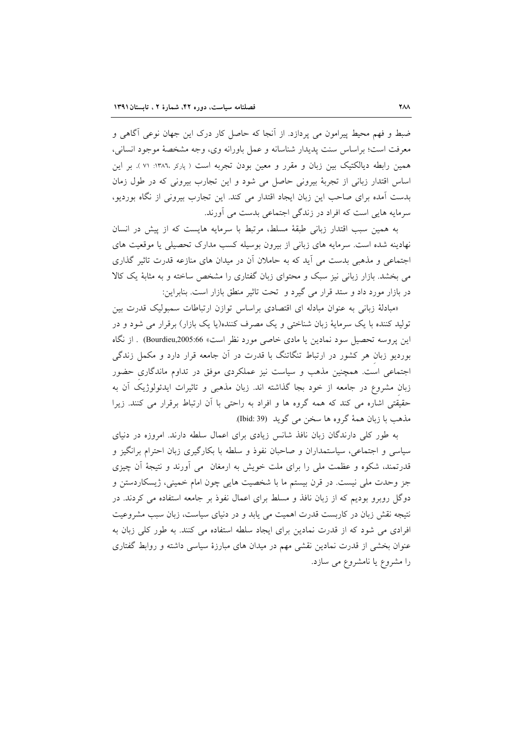ضبط و فهم محیط پیرامون می پردازد. از آنجا که حاصل کار درک این جهان نوعی آگاهی و معرفت است؛ براساس سنت پدیدار شناسانه و عمل باورانه وی، وجه مشخصهٔ موجود انسانی، همین رابطه دیالکتیک بین زبان و مقرر و معین بودن تجربه است ( پارکر ١٣٨٦: ٧١ ). بر این اساس اقتدار زبانی از تجربهٔ بیرونی حاصل می شود و این تجارب بیرونی که در طول زمان بدست آمده برای صاحب این زبان ایجاد اقتدار می کند. این تجارب بیرونی از نگاه بوردیو، سرمایه هایی است که افراد در زندگی اجتماعی بدست می آورند.

به همین سبب اقتدار زبانی طبقهٔ مسلط، مرتبط با سرمایه هایست که از پیش در انسان نهادینه شده است. سرمایه های زبانی از بیرون بوسیله کسب مدارک تحصیلی یا موقعیت های اجتماعی و مذهبی بدست می آید که به حاملان آن در میدان های منازعه قدرت تاثیر گذاری می بخشد. بازار زبانی نیز سبک و محتوای زبان گفتاری را مشخص ساخته و به مثابهٔ یک کالا در بازار مورد داد و ستد قرار می گیرد و تحت تاثیر منطق بازار است. بنابراین:

«مبادلهٔ زبانی به عنوان مبادله ای اقتصادی براساس توازن ارتباطات سمبولیک قدرت بین تولید کننده با یک سرمایهٔ زبان شناختی و یک مصرف کننده(یا یک بازار) برقرار می شود و در اين پروسه تحصيل سود نمادين يا مادى خاصى مورد نظر است» Bourdieu,2005:66) . از نگاه بوردیو زبان هر کشور در ارتباط تنگاتنگ با قدرت در آن جامعه قرار دارد و مکمل زندگی اجتماعی است. همچنین مذهب و سیاست نیز عملکردی موفق در تداوم ماندگاری حضور زبان مشروع در جامعه از خود بجا گذاشته اند. زبان مذهبی و تاثیرات ایدئولوژیک آن به حقیقتی اشاره می کند که همه گروه ها و افراد به راحتی با آن ارتباط برقرار می کنند. زیرا مذهب با زبان همهٔ گروه ها سخن می گوید (Ibid: 39).

به طور کلی دارندگان زبان نافذ شانس زیادی برای اعمال سلطه دارند. امروزه در دنیای سیاسی و اجتماعی، سیاستمداران و صاحبان نفوذ و سلطه با بکارگیری زبان احترام برانگیز و قدرتمند، شکوه و عظمت ملی را برای ملت خویش به ارمغان ً می آورند و نتیجهٔ آن چیزی جز وحدت ملي نيست. در قرن بيستم ما با شخصيت هايي چون امام خميني، ژيسكاردستن و دوگل روبرو بودیم که از زبان نافذ و مسلط برای اعمال نفوذ بر جامعه استفاده می کردند. در نتیجه نقش زبان در کاربست قدرت اهمیت می یابد و در دنیای سیاست، زبان سبب مشروعیت افرادی می شود که از قدرت نمادین برای ایجاد سلطه استفاده می کنند. به طور کلی زبان به عنوان بخشی از قدرت نمادین نقشی مهم در میدان های مبارزهٔ سیاسی داشته و روابط گفتاری را مشروع یا نامشروع می سازد.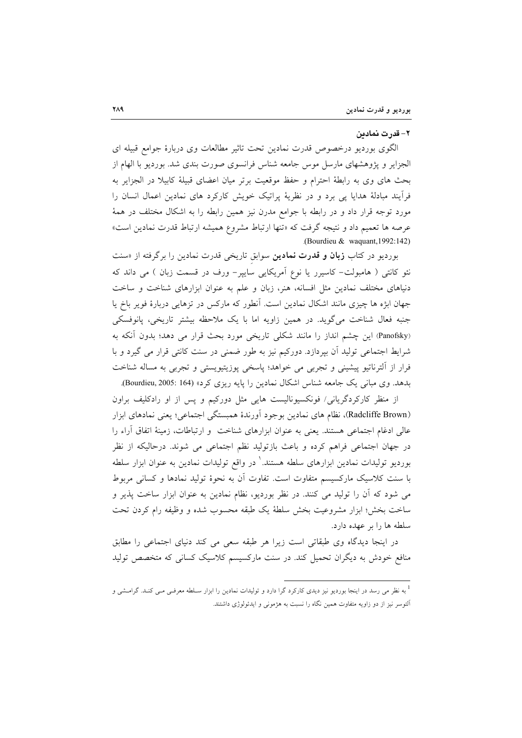#### ٢– قدرت نمادىن

الگوی بوردیو درخصوص قدرت نمادین تحت تاثیر مطالعات وی دربارهٔ جوامع قبیله ای الجزایر و پژوهشهای مارسل موس جامعه شناس فرانسوی صورت بندی شد. بوردیو با الهام از بحث های وی به رابطهٔ احترام و حفظ موقعیت برتر میان اعضای قبیلهٔ کابیلا در الجزایر به فراًیند مبادلهٔ هدایا یی برد و در نظریهٔ پراتیک خویش کارکرد های نمادین اعمال انسان را مورد توجه قرار داد و در رابطه با جوامع مدرن نیز همین رابطه را به اشکال مختلف در همهٔ عرصه ها تعميم داد و نتيجه گرفت كه «تنها ارتباط مشروع هميشه ارتباط قدرت نمادين است» (Bourdieu & waquant, 1992:142)

بوردیو در کتاب **زبان و قدرت نمادین** سوابق تاریخی قدرت نمادین را برگرفته از «سنت نئو کانتی ( هامبولت– کاسیرر یا نوع اَمریکایی سایپر– ورف در قسمت زبان ) می داند که دنیاهای مختلف نمادین مثل افسانه، هنر، زبان و علم به عنوان ابزارهای شناخت و ساخت جهان ابژه ها چیزی مانند اشکال نمادین است. آنطور که مارکس در تزهایی دربارهٔ فویر باخ یا جنبه فعال شناخت می گوید. در همین زاویه اما با یک ملاحظه بیشتر تاریخی، پانوفسکی (Panofsky) این چشم انداز را مانند شکلی تاریخی مورد بحث قرار می دهد؛ بدون آنکه به شرایط اجتماعی تولید آن بپردازد. دورکیم نیز به طور ضمنی در سنت کانتی قرار می گیرد و با فرار از ألترناتیو پیشینی و تجربی می خواهد؛ پاسخی پوزیتیویستی و تجربی به مساله شناخت بدهد. وي مباني يک جامعه شناس اشکال نمادين را پايه ريزي کرد» (Bourdieu, 2005: 164).

از منظر کارکردگریانی/ فونکسیونالیست هایی مثل دورکیم و پس از او رادکلیف براون (Radcliffe Brown)، نظام های نمادین بوجود آورندهٔ همبستگی اجتماعی؛ یعنی نمادهای ابزار عالی ادغام اجتماعی هستند. یعنی به عنوان ابزارهای شناخت و ارتباطات، زمینهٔ اتفاق آراء را در جهان اجتماعی فراهم کرده و باعث بازتولید نظم اجتماعی می شوند. درحالیکه از نظر بوردیو تولیدات نمادین ابزارهای سلطه هستند. ٰ در واقع تولیدات نمادین به عنوان ابزار سلطه با سنت کلاسیک مارکسیسم متفاوت است. تفاوت آن به نحوهٔ تولید نمادها و کسانی مربوط می شود که آن را تولید می کنند. در نظر بوردیو، نظام نمادین به عنوان ابزار ساخت پذیر و ساخت بخش؛ ابزار مشروعيت بخش سلطة يک طبقه محسوب شده و وظيفه رام کردن تحت سلطه ها را بر عهده دارد.

در اینجا دیدگاه وی طبقاتی است زیرا هر طبقه سعی می کند دنیای اجتماعی را مطابق منافع خودش به دیگران تحمیل کند. در سنت مارکسیسم کلاسیک کسانی که متخصص تولید

<sup>&</sup>lt;sup>1</sup> به نظر می رسد در اینجا بوردیو نیز دیدی کارکرد گرا دارد و تولیدات نمادین را ابزار سـلطه معرفــی مــی کنــد. گرامــشی و آلتوسر نیز از دو زاویه متفاوت همین نگاه را نسبت به هژمونی و ایدئولوژی داشتند.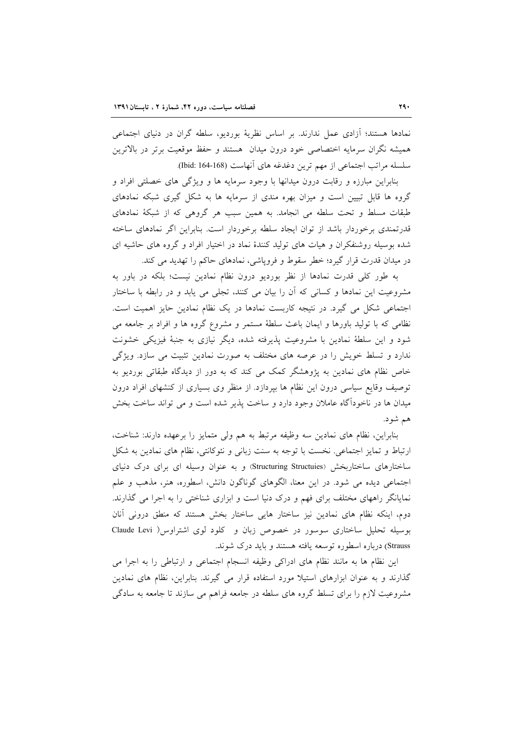نمادها هستند؛ آزادی عمل ندارند. بر اساس نظریهٔ بوردیو، سلطه گران در دنیای اجتماعی همیشه نگران سرمایه اختصاصی خود درون میدان هستند و حفظ موقعیت برتر در بالاترین سلسله مراتب اجتماعي از مهم ترين دغدغه هاي أنهاست (168-164 :Ibid).

بنابراین مبارزه و رقابت درون میدانها با وجود سرمایه ها و ویژگی های خصلتی افراد و گروه ها قابل تبیین است و میزان بهره مندی از سرمایه ها به شکل گیری شبکه نمادهای طبقات مسلط و تحت سلطه می انجامد. به همین سبب هر گروهی که از شبکهٔ نمادهای قدرتمندی برخوردار باشد از توان ایجاد سلطه برخوردار است. بنابراین اگر نمادهای ساخته شده بوسیله روشنفکران و هیات های تولید کنندهٔ نماد در اختیار افراد و گروه های حاشیه ای در میدان قدرت قرار گیرد؛ خطر سقوط و فروپاشی، نمادهای حاکم را تهدید می کند.

به طور کلّی قدرت نمادها از نظر بوردیو درون نظام نمادین نیست؛ بلکه در باور به مشروعیت این نمادها و کسانی که آن را بیان می کنند، تجلی می یابد و در رابطه با ساختار اجتماعی شکل می گیرد. در نتیجه کاربست نمادها در یک نظام نمادین حایز اهمیت است. نظامی که با تولید باورها و ایمان باعث سلطهٔ مستمر و مشروع گروه ها و افراد بر جامعه می شود و این سلطهٔ نمادین با مشروعیت پذیرفته شده، دیگر نیازی به جنبهٔ فیزیکی خشونت ندارد و تسلط خویش را در عرصه های مختلف به صورت نمادین تثبیت می سازد. ویژگی خاص نظام های نمادین به پژوهشگر کمک می کند که به دور از دیدگاه طبقاتی بوردیو به توصیف وقایع سیاسی درون این نظام ها بپردازد. از منظر وی بسیاری از کنشهای افراد درون میدان ها در ناخودآگاه عاملان وجود دارد و ساخت پذیر شده است و می تواند ساخت بخش هم شود.

بنابراین، نظام های نمادین سه وظیفه مرتبط به هم ولی متمایز را برعهده دارند: شناخت، ارتباط و تمایز اجتماعی نخست با توجه به سنت زبانی و نئوکانتی، نظام های نمادین به شکل ساختارهای ساختاربخش (Structuring Structuies) و به عنوان وسیله ای برای درک دنیای اجتماعی دیده می شود. در این معنا، الگوهای گوناگون دانش، اسطوره، هنر، مذهب و علم نمایانگر راههای مختلف برای فهم و درک دنیا است و ابزاری شناختی را به اجرا می گذارند. دوم، اینکه نظام های نمادین نیز ساختار هایی ساختار بخش هستند که منطق درونی آنان بوسیله تحلیل ساختاری سوسور در خصوص زبان و کلود لوی اشتراوس ( Claude Levi Strauss) درباره اسطوره توسعه يافته هستند و بايد درك شوند.

اين نظام ها به مانند نظام هاي ادراكي وظيفه انسجام اجتماعي و ارتباطي را به اجرا مي گذارند و به عنوان ابزارهای استیلا مورد استفاده قرار می گیرند. بنابراین، نظام های نمادین مشروعیت لازم را برای تسلط گروه های سلطه در جامعه فراهم می سازند تا جامعه به سادگی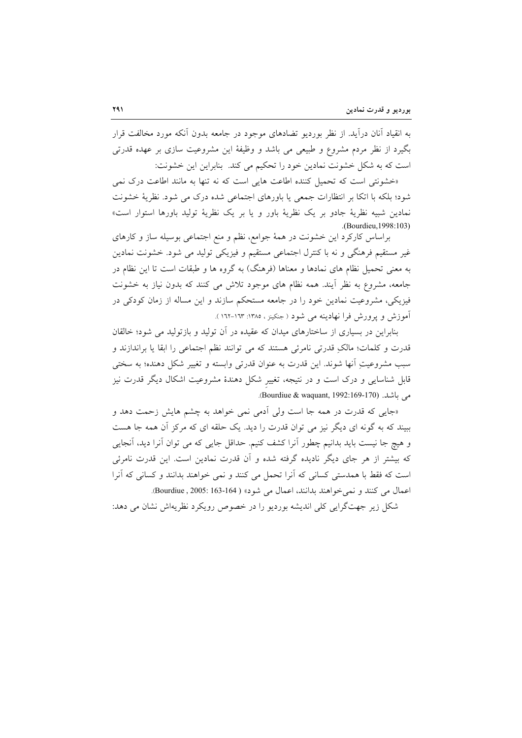به انقیاد آنان درآید. از نظر بوردیو تضادهای موجود در جامعه بدون آنکه مورد مخالفت قرار بگیرد از نظر مردم مشروع و طبیعی می باشد و وظیفهٔ این مشروعیت سازی بر عهده قدرتی است كه به شكل خشونت نمادين خود را تحكيم مي كند. بنابراين اين خشونت:

«خشونتی است که تحمیل کننده اطاعت هایی است که نه تنها به مانند اطاعت درک نمی شود؛ بلکه با اتکا بر انتظارات جمعی یا باورهای اجتماعی شده درک می شود. نظریهٔ خشونت نمادین شبیه نظریهٔ جادو بر یک نظریهٔ باور و یا بر یک نظریهٔ تولید باورها استوار است» .(Bourdieu, 1998:103)

براساس کارکرد این خشونت در همهٔ جوامع، نظم و منع اجتماعی بوسیله ساز و کارهای غیر مستقیم فرهنگی و نه با کنترل اجتماعی مستقیم و فیزیکی تولید می شود. خشونت نمادین به معنی تحمیل نظام های نمادها و معناها (فرهنگ) به گروه ها و طبقات است تا این نظام در جامعه، مشروع به نظر آیند. همه نظام های موجود تلاش می کنند که بدون نیاز به خشونت فیزیکی، مشروعیت نمادین خود را در جامعه مستحکم سازند و این مساله از زمان کودکی در آموزش و یرورش فرا نهادینه می شود (جنکینز ، ۱۳۸۵: ۱۶۲۳-۱۶۲).

بنابراین در بسیاری از ساختارهای میدان که عقیده در آن تولید و بازتولید می شود؛ خالقان قدرت و كلمات؛ مالكِ قدرتي نامرئي هستند كه مي توانند نظم اجتماعي را ابقا يا براندازند و سبب مشروعیتِ آنها شوند. این قدرت به عنوان قدرتی وابسته و تغییر شکل دهنده؛ به سختی قابل شناسایی و درک است و در نتیجه، تغییر شکل دهندهٔ مشروعیت اشکال دیگر قدرت نیز می باشد. (Bourdiue & waquant, 1992:169-170).

«جایی که قدرت در همه جا است ولی اَدمی نمی خواهد به چشم هایش زحمت دهد و ببیند که به گونه ای دیگر نیز می توان قدرت را دید. یک حلقه ای که مرکز آن همه جا هست و هيچ جا نيست بايد بدانيم چطور آنرا كشف كنيم. حداقل جايبي كه مي توان آنرا ديد، آنجايبي که بیشتر از هر جای دیگر نادیده گرفته شده و آن قدرت نمادین است. این قدرت نامرئی است كه فقط با همدستي كساني كه آنرا تحمل مي كنند و نمي خواهند بدانند و كساني كه آنرا اعمال مي كنند و نمي خواهند بدانند، اعمال مي شود» ( 164-163 :2005, Bourdiue).

شکل زیر جهتگرایی کلی اندیشه بوردیو را در خصوص رویکرد نظریهاش نشان می دهد: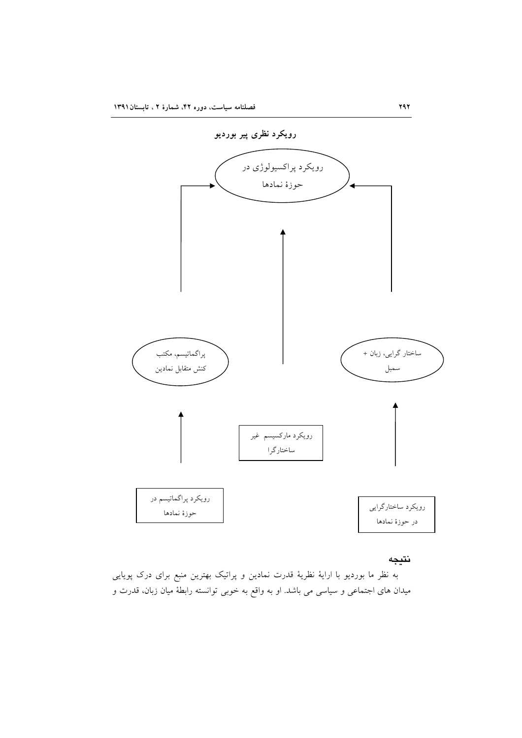

# نتيجه

به نظر ما بوردیو با ارایهٔ نظریهٔ قدرت نمادین و پراتیک بهترین منبع برای درک پویایی میدان های اجتماعی و سیاسی می باشد. او به واقع به خوبی توانسته رابطهٔ میان زبان، قدرت و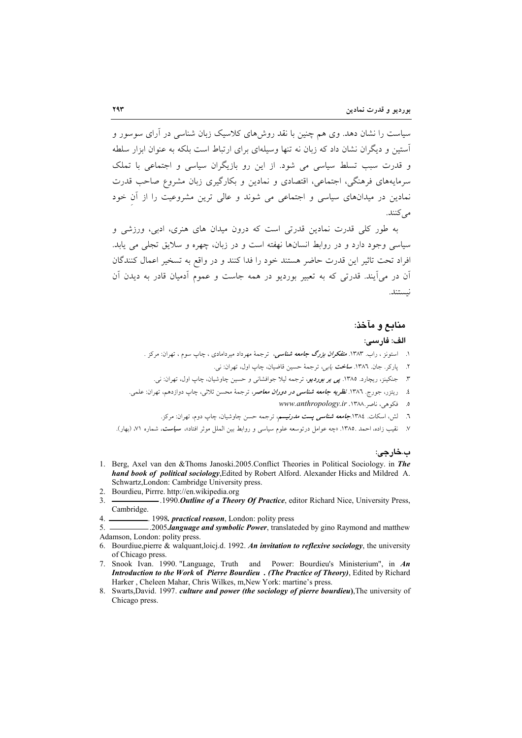سیاست را نشان دهد. وی هم چنین با نقد روشهای کلاسیک زبان شناسی در آرای سوسور و آستین و دیگران نشان داد که زبان نه تنها وسیلهای برای ارتباط است بلکه به عنوان ایزار سلطه و قدرت سبب تسلط سیاسی می شود. از این رو بازیگران سیاسی و اجتماعی با تملک سرمایههای فرهنگی، اجتماعی، اقتصادی و نمادین و بکارگیری زبان مشروع صاحب قدرت نمادین در میدانهای سیاسی و اجتماعی می شوند و عالی ترین مشروعیت را از آن خود مے کنند.

به طور کلی قدرت نمادین قدرتی است که درون میدان های هنری، ادبی، ورزشی و سیاسی وجود دارد و در روابط انسانها نهفته است و در زبان، چهره و سلایق تجلّی می پابد. افراد تحت تاثير اين قدرت حاضر هستند خود را فدا كنند و در واقع به تسخير اعمال كنندگان آن در می آیند. قدرتی که به تعبیر بوردیو در همه جاست و عموم آدمیان قادر به دیدن آن نستند.

### منابع و مآخذ:

### الف: فارسى:

- ۱. استونز ، راب. ۱۳۸۳. *متفکران بزرگ جامعه شناسی،* ترجمهٔ مهرداد میردامادی ، چاپ سوم ، تهران: مرکز .
	- ۲. پارکر. جان. ۱۳۸٦. *ساخت يابي،* ترجمهٔ حسين قاضيان، چاپ اول، تهران: ني.
	- ۳. جنکینز، ریچارد. ۱۳۸۵. *پی بر بوردیو*، ترجمه لیلا جوافشان<sub>ی</sub> و حسین چاوشیان، چاپ اول، تهران: نی.
- ٤. ریتزر، جورج. ١٣٨٦. *نظریه جامعه شناسی در دوران معاصر*، ترجمهٔ محسن ثلاثی، چاپ دوازدهم، تهران: علمی.
	- ۰. فكوهى، ناصر ۱۳۸۸. www.anthropology.ir
	- ٦. لش، اسکات. ١٣٨٤.ج*امعه شناسی پست مدرنیسم*، ترجمه حسن چاوشیان، چاپ دوم، تهران: مرکز.
- ٧. نقيب زاده، احمد ١٣٨٥. «چه عوامل درتوسعه علوم سياسي و روابط بين الملل موثر افتاد»، <mark>سي*است،* ش</mark>ماره ٧١، (بهار).

### ب.خارجي:

- 1. Berg, Axel van den &Thoms Janoski.2005.Conflict Theories in Political Sociology. in The hand book of political sociology, Edited by Robert Alford. Alexander Hicks and Mildred A. Schwartz, London: Cambridge University press.
- 2. Bourdieu, Pirrre. http://en.wikipedia.org
- -.1990. Outline of a Theory Of Practice, editor Richard Nice, University Press,  $\mathcal{E}$ Cambridge.
- . 1998. *practical reason*, London: polity press  $4<sup>1</sup>$
- $5<sub>1</sub>$ -.2005.language and symbolic Power, translateded by gino Raymond and matthew Adamson, London: polity press.
- 6. Bourdiue, pierre & walquant, loicj.d. 1992. An invitation to reflexive sociology, the university of Chicago press
- 7. Snook Ivan. 1990. "Language, Truth and Power: Bourdieu's Ministerium", in An Introduction to the Work of Pierre Bourdieu. (The Practice of Theory), Edited by Richard Harker, Cheleen Mahar, Chris Wilkes, m, New York: martine's press.
- 8. Swarts, David. 1997. culture and power (the sociology of pierre bourdieu), The university of Chicago press.